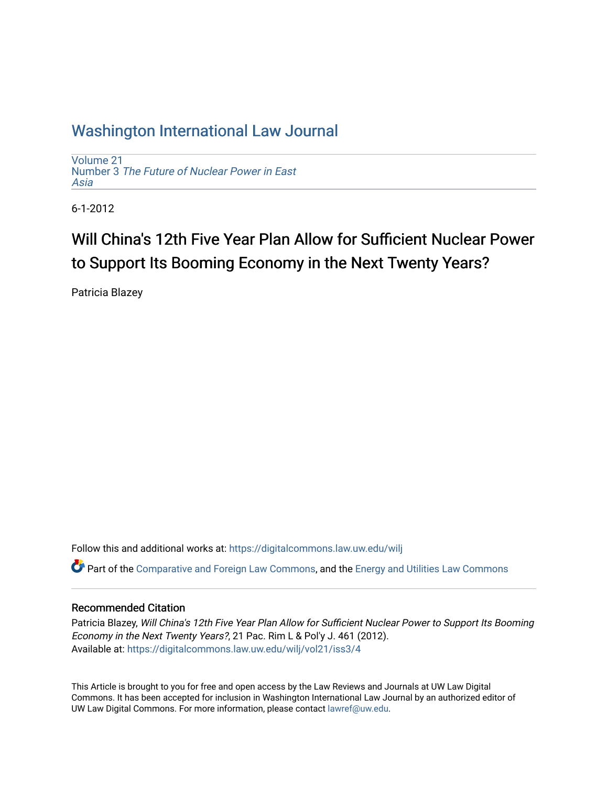# [Washington International Law Journal](https://digitalcommons.law.uw.edu/wilj)

[Volume 21](https://digitalcommons.law.uw.edu/wilj/vol21) Number 3 [The Future of Nuclear Power in East](https://digitalcommons.law.uw.edu/wilj/vol21/iss3)  [Asia](https://digitalcommons.law.uw.edu/wilj/vol21/iss3) 

6-1-2012

# Will China's 12th Five Year Plan Allow for Sufficient Nuclear Power to Support Its Booming Economy in the Next Twenty Years?

Patricia Blazey

Follow this and additional works at: [https://digitalcommons.law.uw.edu/wilj](https://digitalcommons.law.uw.edu/wilj?utm_source=digitalcommons.law.uw.edu%2Fwilj%2Fvol21%2Fiss3%2F4&utm_medium=PDF&utm_campaign=PDFCoverPages) 

Part of the [Comparative and Foreign Law Commons,](http://network.bepress.com/hgg/discipline/836?utm_source=digitalcommons.law.uw.edu%2Fwilj%2Fvol21%2Fiss3%2F4&utm_medium=PDF&utm_campaign=PDFCoverPages) and the [Energy and Utilities Law Commons](http://network.bepress.com/hgg/discipline/891?utm_source=digitalcommons.law.uw.edu%2Fwilj%2Fvol21%2Fiss3%2F4&utm_medium=PDF&utm_campaign=PDFCoverPages)

### Recommended Citation

Patricia Blazey, Will China's 12th Five Year Plan Allow for Sufficient Nuclear Power to Support Its Booming Economy in the Next Twenty Years?, 21 Pac. Rim L & Pol'y J. 461 (2012). Available at: [https://digitalcommons.law.uw.edu/wilj/vol21/iss3/4](https://digitalcommons.law.uw.edu/wilj/vol21/iss3/4?utm_source=digitalcommons.law.uw.edu%2Fwilj%2Fvol21%2Fiss3%2F4&utm_medium=PDF&utm_campaign=PDFCoverPages) 

This Article is brought to you for free and open access by the Law Reviews and Journals at UW Law Digital Commons. It has been accepted for inclusion in Washington International Law Journal by an authorized editor of UW Law Digital Commons. For more information, please contact [lawref@uw.edu](mailto:lawref@uw.edu).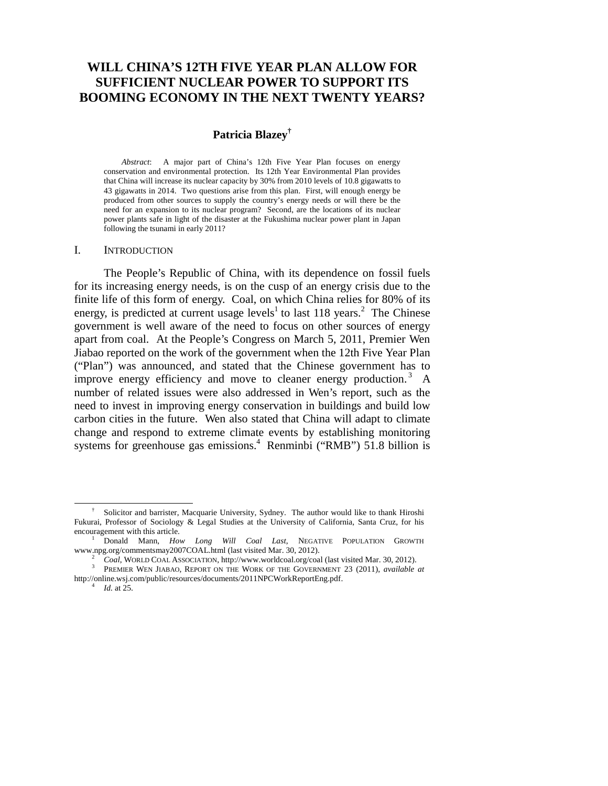# **WILL CHINA'S 12TH FIVE YEAR PLAN ALLOW FOR SUFFICIENT NUCLEAR POWER TO SUPPORT ITS BOOMING ECONOMY IN THE NEXT TWENTY YEARS?**

# **Patricia Blazey†**

*Abstract*: A major part of China's 12th Five Year Plan focuses on energy conservation and environmental protection. Its 12th Year Environmental Plan provides that China will increase its nuclear capacity by 30% from 2010 levels of 10.8 gigawatts to 43 gigawatts in 2014. Two questions arise from this plan. First, will enough energy be produced from other sources to supply the country's energy needs or will there be the need for an expansion to its nuclear program? Second, are the locations of its nuclear power plants safe in light of the disaster at the Fukushima nuclear power plant in Japan following the tsunami in early 2011?

#### I. INTRODUCTION

The People's Republic of China, with its dependence on fossil fuels for its increasing energy needs, is on the cusp of an energy crisis due to the finite life of this form of energy. Coal, on which China relies for 80% of its energy, is predicted at current usage levels<sup>1</sup> to last 118 years.<sup>2</sup> The Chinese government is well aware of the need to focus on other sources of energy apart from coal. At the People's Congress on March 5, 2011, Premier Wen Jiabao reported on the work of the government when the 12th Five Year Plan ("Plan") was announced, and stated that the Chinese government has to improve energy efficiency and move to cleaner energy production.<sup>3</sup> A number of related issues were also addressed in Wen's report, such as the need to invest in improving energy conservation in buildings and build low carbon cities in the future. Wen also stated that China will adapt to climate change and respond to extreme climate events by establishing monitoring systems for greenhouse gas emissions.<sup>4</sup> Renminbi ("RMB") 51.8 billion is

 <sup>†</sup> Solicitor and barrister, Macquarie University, Sydney. The author would like to thank Hiroshi Fukurai, Professor of Sociology & Legal Studies at the University of California, Santa Cruz, for his encouragement with this article.

<sup>&</sup>lt;sup>1</sup> Donald Mann, *How Long Will Coal Last*, NEGATIVE POPULATION GROWTH www.npg.org/commentsmay2007COAL.html (last visited Mar. 30, 2012).

www.npg.org/commentsmay2007COAL.html (last visited Mar. 30, 2012).<br><sup>2</sup> *Coal*, WORLD COAL ASSOCIATION, http://www.worldcoal.org/coal (last visited Mar. 30, 2012).<br><sup>3</sup> PREMIER WEN JIABAO, REPORT ON THE WORK OF THE GOVERNMEN http://online.wsj.com/public/resources/documents/2011NPCWorkReportEng.pdf. 4 *Id.* at 25.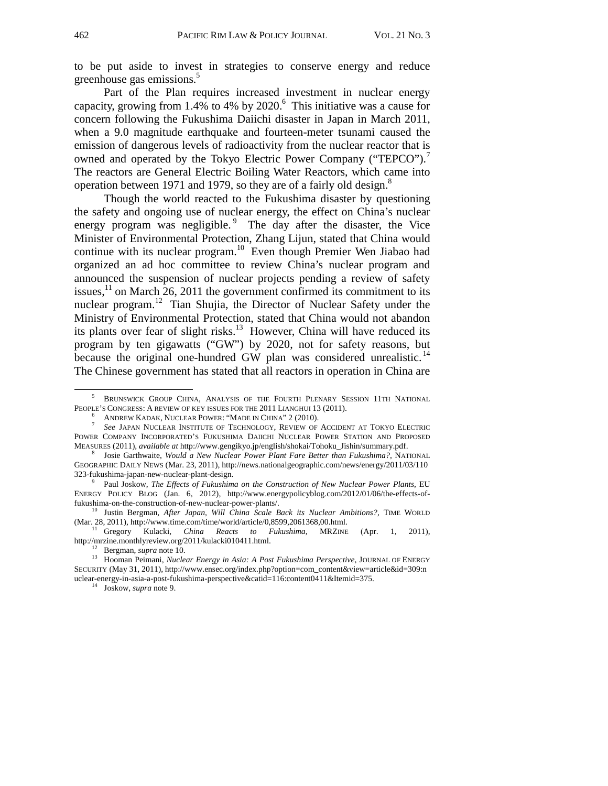to be put aside to invest in strategies to conserve energy and reduce greenhouse gas emissions.<sup>5</sup>

Part of the Plan requires increased investment in nuclear energy capacity, growing from  $1.4\%$  to  $4\%$  by  $2020.^6$  This initiative was a cause for concern following the Fukushima Daiichi disaster in Japan in March 2011, when a 9.0 magnitude earthquake and fourteen-meter tsunami caused the emission of dangerous levels of radioactivity from the nuclear reactor that is owned and operated by the Tokyo Electric Power Company ("TEPCO").<sup>7</sup> The reactors are General Electric Boiling Water Reactors, which came into operation between 1971 and 1979, so they are of a fairly old design.<sup>8</sup>

Though the world reacted to the Fukushima disaster by questioning the safety and ongoing use of nuclear energy, the effect on China's nuclear energy program was negligible.<sup>9</sup> The day after the disaster, the Vice Minister of Environmental Protection, Zhang Lijun, stated that China would continue with its nuclear program.<sup>10</sup> Even though Premier Wen Jiabao had organized an ad hoc committee to review China's nuclear program and announced the suspension of nuclear projects pending a review of safety issues, $^{11}$  on March 26, 2011 the government confirmed its commitment to its nuclear program.12 Tian Shujia, the Director of Nuclear Safety under the Ministry of Environmental Protection, stated that China would not abandon its plants over fear of slight risks. $13$  However, China will have reduced its program by ten gigawatts ("GW") by 2020, not for safety reasons, but because the original one-hundred GW plan was considered unrealistic.<sup>14</sup> The Chinese government has stated that all reactors in operation in China are

 $\frac{1}{5}$  BRUNSWICK GROUP CHINA, ANALYSIS OF THE FOURTH PLENARY SESSION 11TH NATIONAL PEOPLE'S CONGRESS: A REVIEW OF KEY ISSUES FOR THE 2011 LIANGHUI 13 (2011).<br><sup>6</sup> ANDREW KADAK, NUCLEAR POWER: "MADE IN CHINA" 2 (2010).

ANDREW KEDAK, NUCLEAR INSTITUTE OF TECHNOLOGY, REVIEW OF ACCIDENT AT TOKYO ELECTRIC POWER COMPANY INCORPORATED'S FUKUSHIMA DAIICHI NUCLEAR POWER STATION AND PROPOSED MEASURES (2011), *available at* http://www.gengikyo.jp/english/shokai/Tohoku\_Jishin/summary.pdf. 8

Josie Garthwaite, *Would a New Nuclear Power Plant Fare Better than Fukushima?*, NATIONAL GEOGRAPHIC DAILY NEWS (Mar. 23, 2011), http://news.nationalgeographic.com/news/energy/2011/03/110 323-fukushima-japan-new-nuclear-plant-design. 9

Paul Joskow, *The Effects of Fukushima on the Construction of New Nuclear Power Plants*, EU ENERGY POLICY BLOG (Jan. 6, 2012), http://www.energypolicyblog.com/2012/01/06/the-effects-of-

fukushima-on-the-construction-of-new-nuclear-power-plants/. 10 Justin Bergman, *After Japan, Will China Scale Back its Nuclear Ambitions?*, TIME WORLD

<sup>(</sup>Mar. 28, 2011), http://www.time.com/time/world/article/0,8599,2061368,00.html.<br><sup>11</sup> Gregory Kulacki, *China Reacts to Fukushima*, MRZINE (Apr. 1, 2011),<br>http://mrzine.monthlyreview.org/2011/kulacki010411.html.

<sup>&</sup>lt;sup>12</sup> Bergman, *supra* note 10.<br><sup>13</sup> Hooman Peimani, *Nuclear Energy in Asia: A Post Fukushima Perspective*, JOURNAL OF ENERGY SECURITY (May 31, 2011), http://www.ensec.org/index.php?option=com\_content&view=article&id=309:n uclear-energy-in-asia-a-post-fukushima-perspective&catid=116:content0411&Itemid=375. 14 Joskow, *supra* note 9.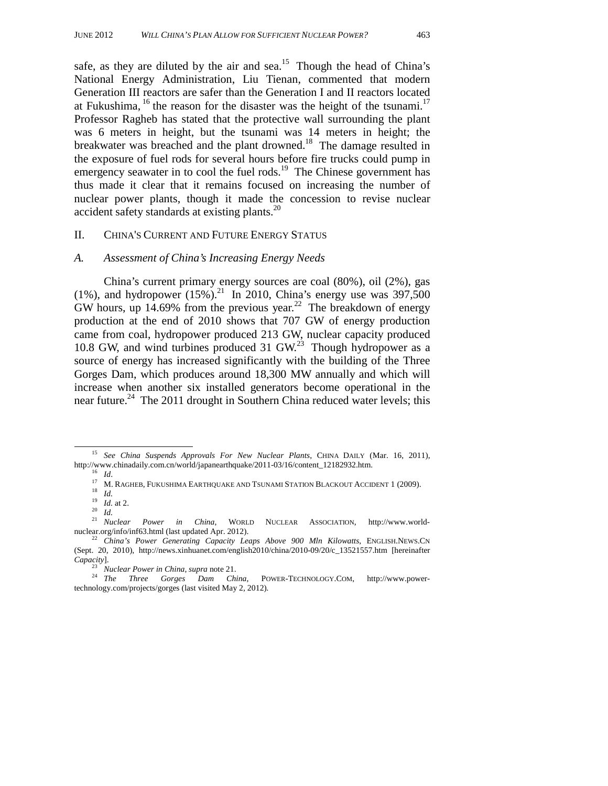safe, as they are diluted by the air and sea.<sup>15</sup> Though the head of China's National Energy Administration, Liu Tienan, commented that modern Generation III reactors are safer than the Generation I and II reactors located at Fukushima,  $^{16}$  the reason for the disaster was the height of the tsunami.<sup>17</sup> Professor Ragheb has stated that the protective wall surrounding the plant was 6 meters in height, but the tsunami was 14 meters in height; the breakwater was breached and the plant drowned.<sup>18</sup> The damage resulted in the exposure of fuel rods for several hours before fire trucks could pump in emergency seawater in to cool the fuel rods.<sup>19</sup> The Chinese government has thus made it clear that it remains focused on increasing the number of nuclear power plants, though it made the concession to revise nuclear accident safety standards at existing plants.<sup>20</sup>

#### II. CHINA'S CURRENT AND FUTURE ENERGY STATUS

#### *A. Assessment of China's Increasing Energy Needs*

China's current primary energy sources are coal (80%), oil (2%), gas (1%), and hydropower (15%).<sup>21</sup> In 2010, China's energy use was 397,500 GW hours, up 14.69% from the previous year.<sup>22</sup> The breakdown of energy production at the end of 2010 shows that 707 GW of energy production came from coal, hydropower produced 213 GW, nuclear capacity produced 10.8 GW, and wind turbines produced 31 GW.<sup>23</sup> Though hydropower as a source of energy has increased significantly with the building of the Three Gorges Dam, which produces around 18,300 MW annually and which will increase when another six installed generators become operational in the near future.<sup>24</sup> The 2011 drought in Southern China reduced water levels; this

<sup>&</sup>lt;sup>15</sup> See China Suspends Approvals For New Nuclear Plants, CHINA DAILY (Mar. 16, 2011), http://www.chinadaily.com.cn/world/japanearthquake/2011-03/16/content\_12182932.htm.<br>
<sup>16</sup> *Id.*<br>
<sup>17</sup> M. RAGHEB, FUKUSHIMA EARTHQUAKE AND TSUNAMI STATION BLACKOUT ACCIDENT 1 (2009).<br>
<sup>18</sup> *Id.*<br>
<sup>19</sup> *Id.*<br>
<sup>20</sup> *Id.*<br>
<sup>21</sup>

nuclear.org/info/inf63.html (last updated Apr. 2012). 22 *China's Power Generating Capacity Leaps Above 900 Mln Kilowatts*, ENGLISH.NEWS.CN (Sept. 20, 2010), http://news.xinhuanet.com/english2010/china/2010-09/20/c\_13521557.htm [hereinafter *Capacity*]. 23 *Nuclear Power in China*, *supra* note 21. 24 *The Three Gorges Dam China*, POWER-TECHNOLOGY.COM, http://www.power-

technology.com/projects/gorges (last visited May 2, 2012)*.*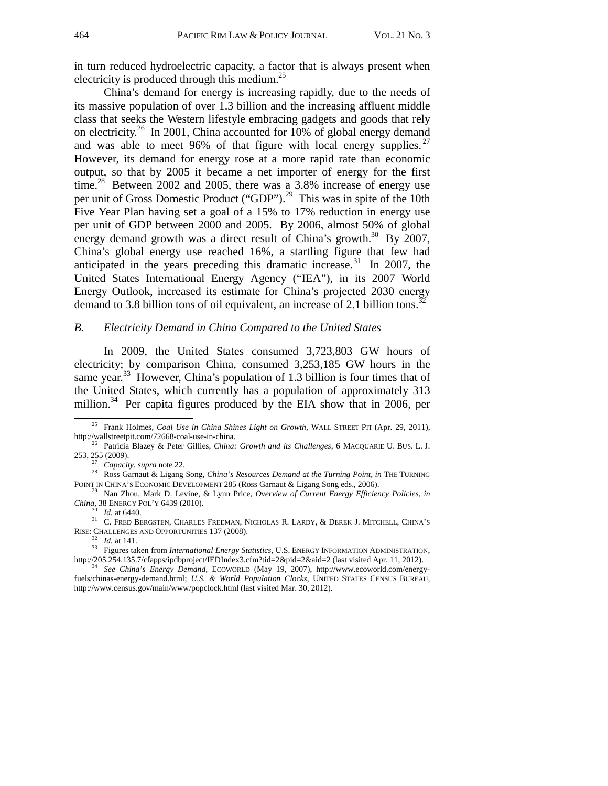in turn reduced hydroelectric capacity, a factor that is always present when electricity is produced through this medium.<sup>25</sup>

China's demand for energy is increasing rapidly, due to the needs of its massive population of over 1.3 billion and the increasing affluent middle class that seeks the Western lifestyle embracing gadgets and goods that rely on electricity.<sup>26</sup> In 2001, China accounted for 10% of global energy demand and was able to meet 96% of that figure with local energy supplies.  $27$ However, its demand for energy rose at a more rapid rate than economic output, so that by 2005 it became a net importer of energy for the first time.<sup>28</sup> Between 2002 and 2005, there was a 3.8% increase of energy use per unit of Gross Domestic Product ("GDP").<sup>29</sup> This was in spite of the 10th Five Year Plan having set a goal of a 15% to 17% reduction in energy use per unit of GDP between 2000 and 2005. By 2006, almost 50% of global energy demand growth was a direct result of China's growth.<sup>30</sup> By 2007, China's global energy use reached 16%, a startling figure that few had anticipated in the years preceding this dramatic increase.<sup>31</sup> In 2007, the United States International Energy Agency ("IEA"), in its 2007 World Energy Outlook, increased its estimate for China's projected 2030 energy demand to 3.8 billion tons of oil equivalent, an increase of 2.1 billion tons.<sup>3</sup>

#### *B. Electricity Demand in China Compared to the United States*

In 2009, the United States consumed 3,723,803 GW hours of electricity; by comparison China, consumed 3,253,185 GW hours in the same year.<sup>33</sup> However, China's population of 1.3 billion is four times that of the United States, which currently has a population of approximately 313 million.<sup>34</sup> Per capita figures produced by the EIA show that in 2006, per

<sup>&</sup>lt;sup>25</sup> Frank Holmes, *Coal Use in China Shines Light on Growth*, WALL STREET PIT (Apr. 29, 2011), http://wallstreetpit.com/72668-coal-use-in-china.

<sup>&</sup>lt;sup>26</sup> Patricia Blazey & Peter Gillies, *China: Growth and its Challenges*, 6 MACQUARIE U. BUS. L. J.

<sup>253, 255 (2009). 27</sup> *Capacity*, *supra* note 22. 28 Ross Garnaut & Ligang Song, *China's Resources Demand at the Turning Point*, *in* THE TURNING POINT IN CHINA'S ECONOMIC DEVELOPMENT 285 (Ross Garnaut & Ligang Song eds., 2006). 29 Nan Zhou, Mark D. Levine, & Lynn Price, *Overview of Current Energy Efficiency Policies*, *in* 

*China*, 38 ENERGY POL'Y 6439 (2010). 30 *Id.* at 6440. 31 C. FRED BERGSTEN, CHARLES FREEMAN, NICHOLAS R. LARDY, & DEREK J. MITCHELL, CHINA'S

RISE: CHALLENGES AND OPPORTUNITIES 137 (2008).<br><sup>32</sup> *Id.* at 141.<br><sup>33</sup> Figures taken from *International Energy Statistics*, U.S. ENERGY INFORMATION ADMINISTRATION,<br>http://205.254.135.7/cfapps/ipdbproject/IEDIndex3.cfm?tid

<sup>&</sup>lt;sup>34</sup> See China's Energy Demand, ECOWORLD (May 19, 2007), http://www.ecoworld.com/energyfuels/chinas-energy-demand.html; *U.S. & World Population Clocks*, UNITED STATES CENSUS BUREAU, http://www.census.gov/main/www/popclock.html (last visited Mar. 30, 2012).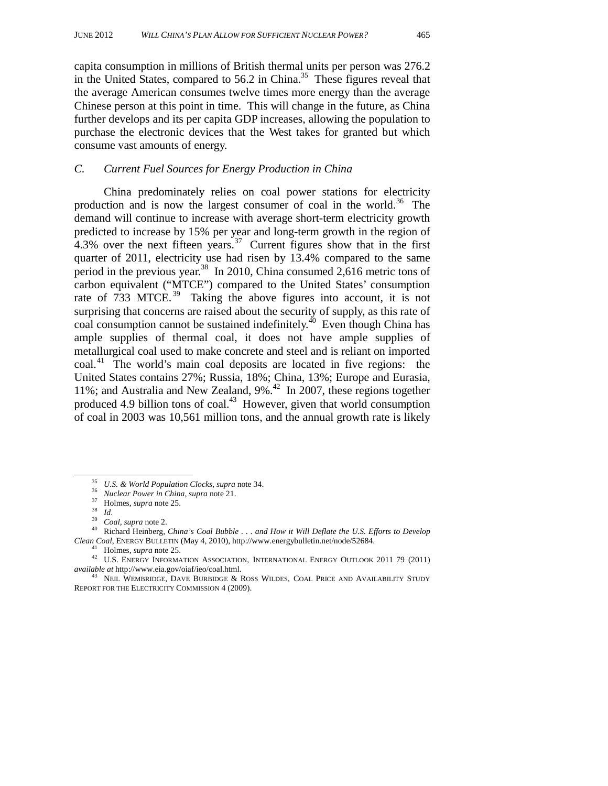capita consumption in millions of British thermal units per person was 276.2 in the United States, compared to 56.2 in China.<sup>35</sup> These figures reveal that the average American consumes twelve times more energy than the average Chinese person at this point in time. This will change in the future, as China further develops and its per capita GDP increases, allowing the population to purchase the electronic devices that the West takes for granted but which consume vast amounts of energy.

#### *C. Current Fuel Sources for Energy Production in China*

China predominately relies on coal power stations for electricity production and is now the largest consumer of coal in the world.36 The demand will continue to increase with average short-term electricity growth predicted to increase by 15% per year and long-term growth in the region of 4.3% over the next fifteen years.<sup>37</sup> Current figures show that in the first quarter of 2011, electricity use had risen by 13.4% compared to the same period in the previous year.<sup>38</sup> In 2010, China consumed 2,616 metric tons of carbon equivalent ("MTCE") compared to the United States' consumption rate of 733 MTCE.<sup>39</sup> Taking the above figures into account, it is not surprising that concerns are raised about the security of supply, as this rate of coal consumption cannot be sustained indefinitely. $^{40}$  Even though China has ample supplies of thermal coal, it does not have ample supplies of metallurgical coal used to make concrete and steel and is reliant on imported coal.<sup>41</sup> The world's main coal deposits are located in five regions: the United States contains 27%; Russia, 18%; China, 13%; Europe and Eurasia, 11%; and Australia and New Zealand, 9%.42 In 2007, these regions together produced 4.9 billion tons of coal. $43$  However, given that world consumption of coal in 2003 was 10,561 million tons, and the annual growth rate is likely

<sup>&</sup>lt;sup>35</sup> U.S. & World Population Clocks, supra note 34.<br><sup>36</sup> Nuclear Power in China, supra note 21.<br><sup>37</sup> Holmes, supra note 25.<br><sup>39</sup> Coal, supra note 2.<br><sup>40</sup> Richard Heinberg, China's Coal Bubble . . . and How it Will Deflate

<sup>&</sup>lt;sup>41</sup> Holmes, *supra* note 25.<br><sup>42</sup> U.S. ENERGY INFORMATION ASSOCIATION, INTERNATIONAL ENERGY OUTLOOK 2011 79 (2011) *available at http://www.eia.gov/oiaf/ieo/coal.html.* 

<sup>&</sup>lt;sup>43</sup> NEIL WEMBRIDGE, DAVE BURBIDGE & ROSS WILDES, COAL PRICE AND AVAILABILITY STUDY REPORT FOR THE ELECTRICITY COMMISSION 4 (2009).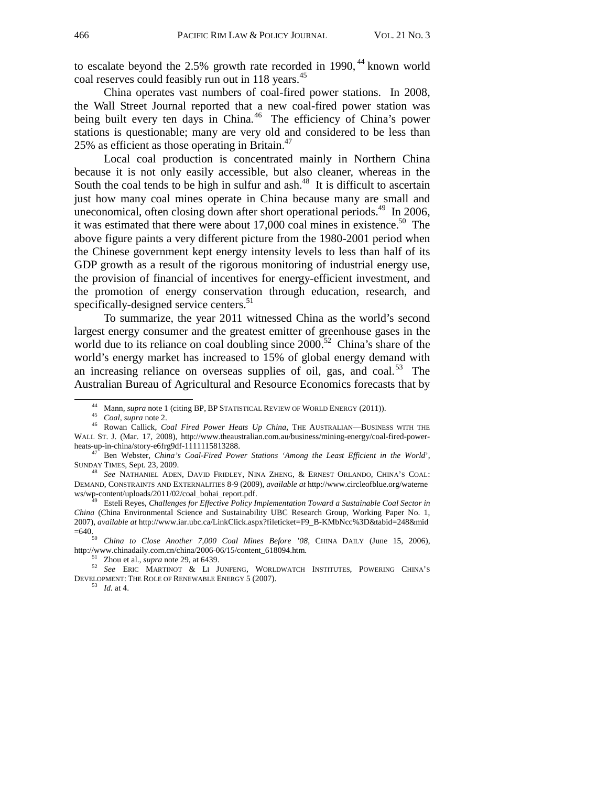to escalate beyond the  $2.5\%$  growth rate recorded in 1990,  $44$  known world coal reserves could feasibly run out in 118 years.<sup>45</sup>

China operates vast numbers of coal-fired power stations. In 2008, the Wall Street Journal reported that a new coal-fired power station was being built every ten days in China.<sup>46</sup> The efficiency of China's power stations is questionable; many are very old and considered to be less than 25% as efficient as those operating in Britain. $47$ 

Local coal production is concentrated mainly in Northern China because it is not only easily accessible, but also cleaner, whereas in the South the coal tends to be high in sulfur and ash. $48$  It is difficult to ascertain just how many coal mines operate in China because many are small and uneconomical, often closing down after short operational periods.<sup>49</sup> In 2006, it was estimated that there were about  $17,000$  coal mines in existence.<sup>50</sup> The above figure paints a very different picture from the 1980-2001 period when the Chinese government kept energy intensity levels to less than half of its GDP growth as a result of the rigorous monitoring of industrial energy use, the provision of financial of incentives for energy-efficient investment, and the promotion of energy conservation through education, research, and specifically-designed service centers.<sup>51</sup>

To summarize, the year 2011 witnessed China as the world's second largest energy consumer and the greatest emitter of greenhouse gases in the world due to its reliance on coal doubling since  $2000$ <sup>52</sup> China's share of the world's energy market has increased to 15% of global energy demand with an increasing reliance on overseas supplies of oil, gas, and coal.<sup>53</sup> The Australian Bureau of Agricultural and Resource Economics forecasts that by

 <sup>44</sup> Mann*, supra* note 1 (citing BP, BP STATISTICAL REVIEW OF WORLD ENERGY (2011)). 45 *Coal, supra* note 2. 46 Rowan Callick, *Coal Fired Power Heats Up China*, THE AUSTRALIAN—BUSINESS WITH THE WALL ST. J. (Mar. 17, 2008), http://www.theaustralian.com.au/business/mining-energy/coal-fired-power-

heats-up-in-china-china<sup>'s</sup> Coal-Fired Power Stations 'Among the Least Efficient in the World', SUNDAY TIMES, Sept. 23, 2009. 48 *See* NATHANIEL ADEN, DAVID FRIDLEY, NINA ZHENG, & ERNEST ORLANDO, CHINA'S COAL:

DEMAND, CONSTRAINTS AND EXTERNALITIES 8-9 (2009), *available at* http://www.circleofblue.org/waterne ws/wp-content/uploads/2011/02/coal\_bohai\_report.pdf. 49 Esteli Reyes, *Challenges for Effective Policy Implementation Toward a Sustainable Coal Sector in* 

*China* (China Environmental Science and Sustainability UBC Research Group, Working Paper No. 1, 2007), *available at* http://www.iar.ubc.ca/LinkClick.aspx?fileticket=F9\_B-KMbNcc%3D&tabid=248&mid

<sup>=640. 50</sup> *China to Close Another 7,000 Coal Mines Before '08*, CHINA DAILY (June 15, 2006),

<sup>&</sup>lt;sup>51</sup> Zhou et al., *supra* note 29, at 6439.<br><sup>52</sup> *See* ERIC MARTINOT & LI JUNFENG, WORLDWATCH INSTITUTES, POWERING CHINA'S DEVELOPMENT: THE ROLE OF RENEWABLE ENERGY 5 (2007). 53 *Id.* at 4.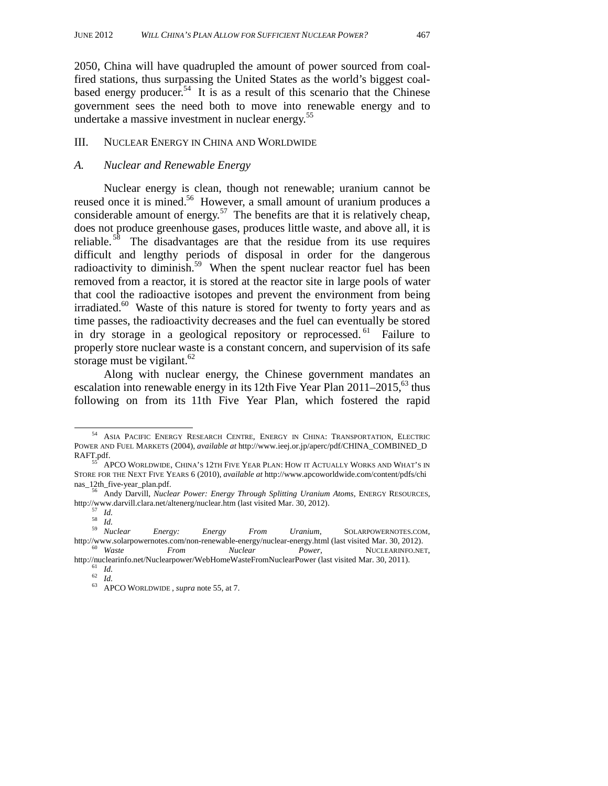2050, China will have quadrupled the amount of power sourced from coalfired stations, thus surpassing the United States as the world's biggest coalbased energy producer.<sup>54</sup> It is as a result of this scenario that the Chinese government sees the need both to move into renewable energy and to undertake a massive investment in nuclear energy.<sup>55</sup>

#### III. NUCLEAR ENERGY IN CHINA AND WORLDWIDE

#### *A. Nuclear and Renewable Energy*

Nuclear energy is clean, though not renewable; uranium cannot be reused once it is mined.<sup>56</sup> However, a small amount of uranium produces a considerable amount of energy.<sup>57</sup> The benefits are that it is relatively cheap, does not produce greenhouse gases, produces little waste, and above all, it is reliable.<sup>58</sup> The disadvantages are that the residue from its use requires difficult and lengthy periods of disposal in order for the dangerous radioactivity to diminish.<sup>59</sup> When the spent nuclear reactor fuel has been removed from a reactor, it is stored at the reactor site in large pools of water that cool the radioactive isotopes and prevent the environment from being irradiated. $60$  Waste of this nature is stored for twenty to forty years and as time passes, the radioactivity decreases and the fuel can eventually be stored in dry storage in a geological repository or reprocessed.  $61$  Failure to properly store nuclear waste is a constant concern, and supervision of its safe storage must be vigilant. $62$ 

Along with nuclear energy, the Chinese government mandates an escalation into renewable energy in its 12th Five Year Plan  $2011-2015$ , <sup>63</sup> thus following on from its 11th Five Year Plan, which fostered the rapid

 <sup>54</sup> ASIA PACIFIC ENERGY RESEARCH CENTRE, ENERGY IN CHINA: TRANSPORTATION, ELECTRIC POWER AND FUEL MARKETS (2004), *available at* http://www.ieej.or.jp/aperc/pdf/CHINA\_COMBINED\_D

RAFT.pdf.<br><sup>55</sup> APCO Worldwide, China's 12th Five Year Plan: How it Actually Works and What's in STORE FOR THE NEXT FIVE YEARS 6 (2010), *available at* http://www.apcoworldwide.com/content/pdfs/chi nas\_12th\_five-year\_plan.pdf. 56 Andy Darvill, *Nuclear Power: Energy Through Splitting Uranium Atoms*, ENERGY RESOURCES,

http://www.darvill.clara.net/altenerg/nuclear.htm (last visited Mar. 30, 2012).<br>
<sup>57</sup> *Id.*<br>
<sup>58</sup> *Id.*<br>
<sup>59</sup> *Nuclear Energy: Energy From Uranium*, SOLARPOWERNOTES.COM, http://www.solarpowernotes.com/non-renewable-energy/nuclear-energy.html (last visited Mar. 30, 2012). 60 *Waste From Nuclear Power*, NUCLEARINFO.NET,

http://nuclearinfo.net/Nuclearpower/WebHomeWasteFromNuclearPower (last visited Mar. 30, 2011).<br><sup>61</sup> *Id.*<br><sup>62</sup> *Id.* 63 APCO WORLDWIDE , *supra* note 55, at 7.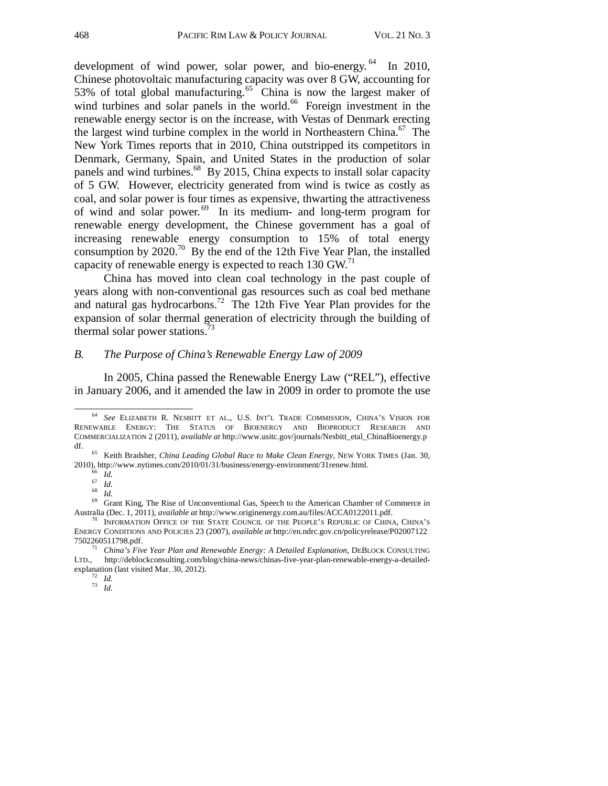development of wind power, solar power, and bio-energy.<sup>64</sup> In 2010, Chinese photovoltaic manufacturing capacity was over 8 GW, accounting for 53% of total global manufacturing.<sup>65</sup> China is now the largest maker of wind turbines and solar panels in the world. $66$  Foreign investment in the renewable energy sector is on the increase, with Vestas of Denmark erecting the largest wind turbine complex in the world in Northeastern China.<sup>67</sup> The New York Times reports that in 2010, China outstripped its competitors in Denmark, Germany, Spain, and United States in the production of solar panels and wind turbines. $^{68}$  By 2015, China expects to install solar capacity of 5 GW. However, electricity generated from wind is twice as costly as coal, and solar power is four times as expensive, thwarting the attractiveness of wind and solar power.  $69$  In its medium- and long-term program for renewable energy development, the Chinese government has a goal of increasing renewable energy consumption to 15% of total energy consumption by  $2020$ .<sup>70</sup> By the end of the 12th Five Year Plan, the installed capacity of renewable energy is expected to reach  $130$  GW.<sup>71</sup>

China has moved into clean coal technology in the past couple of years along with non-conventional gas resources such as coal bed methane and natural gas hydrocarbons.<sup>72</sup> The 12th Five Year Plan provides for the expansion of solar thermal generation of electricity through the building of thermal solar power stations.<sup>73</sup>

# *B. The Purpose of China's Renewable Energy Law of 2009*

In 2005, China passed the Renewable Energy Law ("REL"), effective in January 2006, and it amended the law in 2009 in order to promote the use

 <sup>64</sup> *See* ELIZABETH R. NESBITT ET AL., U.S. INT'L TRADE COMMISSION, CHINA'S VISION FOR RENEWABLE ENERGY: THE STATUS OF BIOENERGY AND BIOPRODUCT RESEARCH AND COMMERCIALIZATION 2 (2011), *available at* http://www.usitc.gov/journals/Nesbitt\_etal\_ChinaBioenergy.p

<sup>&</sup>lt;sup>65</sup> Keith Bradsher, *China Leading Global Race to Make Clean Energy*, NEW YORK TIMES (Jan. 30,

<sup>2010),</sup> http://www.nytimes.com/2010/01/31/business/energy-environment/31renew.html.<br>
<sup>66</sup> *Id.*<br>
<sup>69</sup> Grant King, The Rise of Unconventional Gas, Speech to the American Chamber of Commerce in<br>
Australia (Dec. 1, 2011), *ava* 

<sup>&</sup>lt;sup>70</sup> INFORMATION OFFICE OF THE STATE COUNCIL OF THE PEOPLE'S REPUBLIC OF CHINA, CHINA'S ENERGY CONDITIONS AND POLICIES 23 (2007), *available at* http://en.ndrc.gov.cn/policyrelease/P02007122

<sup>&</sup>lt;sup>71</sup> China's Five Year Plan and Renewable Energy: A Detailed Explanation, DEBLOCK CONSULTING http://deblockconsulting.com/blog/china-news/chinas-five-year-plan-renewable-energy-a-detailedexplanation (last visited Mar. 30, 2012). 72 *Id.* <sup>73</sup> *Id.*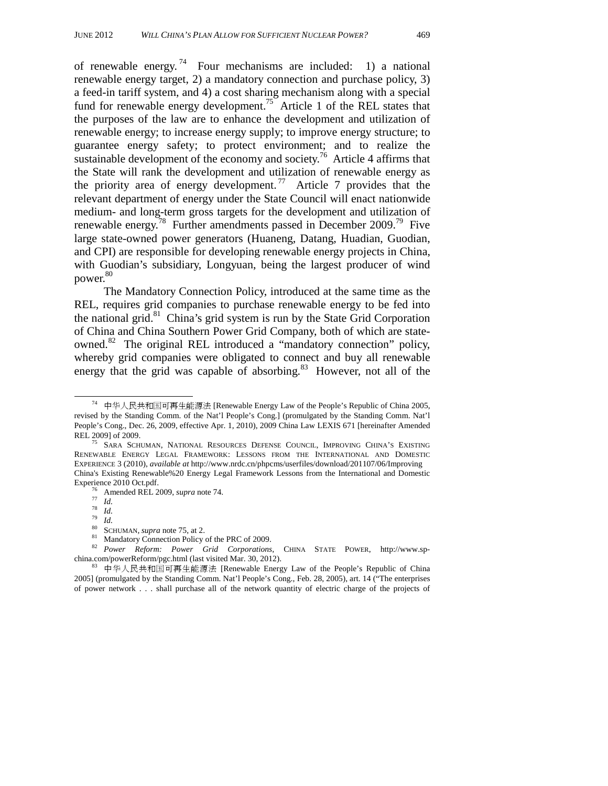of renewable energy.<sup>74</sup> Four mechanisms are included: 1) a national renewable energy target, 2) a mandatory connection and purchase policy, 3) a feed-in tariff system, and 4) a cost sharing mechanism along with a special fund for renewable energy development.<sup>75</sup> Article 1 of the REL states that the purposes of the law are to enhance the development and utilization of renewable energy; to increase energy supply; to improve energy structure; to guarantee energy safety; to protect environment; and to realize the sustainable development of the economy and society.<sup>76</sup> Article 4 affirms that the State will rank the development and utilization of renewable energy as the priority area of energy development.<sup>77</sup> Article 7 provides that the relevant department of energy under the State Council will enact nationwide medium- and long-term gross targets for the development and utilization of renewable energy.78 Further amendments passed in December 2009.79 Five large state-owned power generators (Huaneng, Datang, Huadian, Guodian, and CPI) are responsible for developing renewable energy projects in China, with Guodian's subsidiary, Longyuan, being the largest producer of wind power.<sup>80</sup>

The Mandatory Connection Policy, introduced at the same time as the REL, requires grid companies to purchase renewable energy to be fed into the national grid. $81$  China's grid system is run by the State Grid Corporation of China and China Southern Power Grid Company, both of which are stateowned.<sup>82</sup> The original REL introduced a "mandatory connection" policy, whereby grid companies were obligated to connect and buy all renewable energy that the grid was capable of absorbing.<sup>83</sup> However, not all of the

 $74$  中华人民共和国可再生能源法 [Renewable Energy Law of the People's Republic of China 2005, revised by the Standing Comm. of the Nat'l People's Cong.] (promulgated by the Standing Comm. Nat'l People's Cong., Dec. 26, 2009, effective Apr. 1, 2010), 2009 China Law LEXIS 671 [hereinafter Amended

SARA SCHUMAN, NATIONAL RESOURCES DEFENSE COUNCIL, IMPROVING CHINA'S EXISTING RENEWABLE ENERGY LEGAL FRAMEWORK: LESSONS FROM THE INTERNATIONAL AND DOMESTIC EXPERIENCE 3 (2010), *available at* http://www.nrdc.cn/phpcms/userfiles/download/201107/06/Improving China's Existing Renewable%20 Energy Legal Framework Lessons from the International and Domestic

<sup>&</sup>lt;sup>76</sup> Amended REL 2009, *supra* note 74.<br><sup>77</sup> *Id.*<br><sup>79</sup> *Id.* 80 SCHUMAN, *supra* note 75, at 2.<br><sup>81</sup> Mandatory Connection Policy of the PRC of 2009.

<sup>&</sup>lt;sup>82</sup> *Power Reform: Power Grid Corporations*, CHINA STATE POWER, http://www.sp-china.com/powerReform/pgc.html (last visited Mar. 30, 2012).

 $83$  中华人民共和国可再生能源法 [Renewable Energy Law of the People's Republic of China 2005] (promulgated by the Standing Comm. Nat'l People's Cong., Feb. 28, 2005), art. 14 ("The enterprises of power network . . . shall purchase all of the network quantity of electric charge of the projects of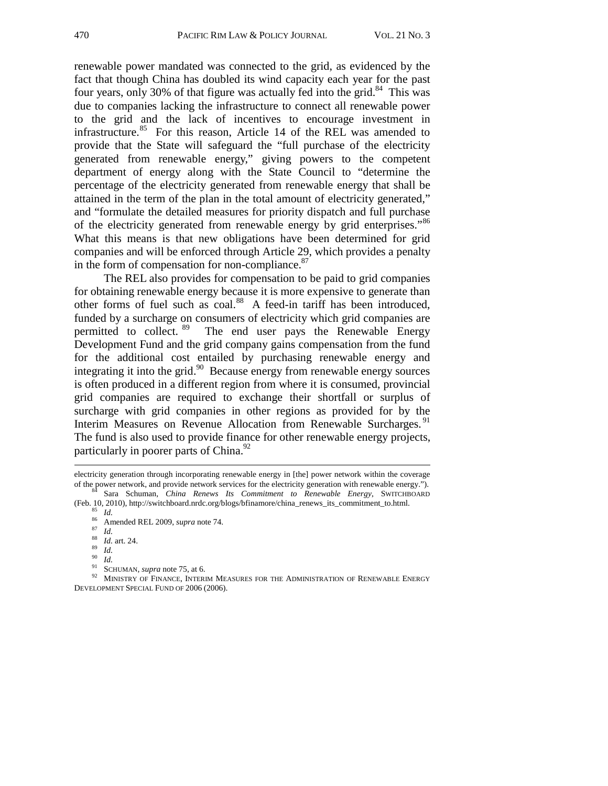renewable power mandated was connected to the grid, as evidenced by the fact that though China has doubled its wind capacity each year for the past four years, only 30% of that figure was actually fed into the grid.<sup>84</sup> This was due to companies lacking the infrastructure to connect all renewable power to the grid and the lack of incentives to encourage investment in infrastructure.<sup>85</sup> For this reason, Article 14 of the REL was amended to provide that the State will safeguard the "full purchase of the electricity generated from renewable energy," giving powers to the competent department of energy along with the State Council to "determine the percentage of the electricity generated from renewable energy that shall be attained in the term of the plan in the total amount of electricity generated," and "formulate the detailed measures for priority dispatch and full purchase of the electricity generated from renewable energy by grid enterprises."<sup>86</sup> What this means is that new obligations have been determined for grid companies and will be enforced through Article 29, which provides a penalty in the form of compensation for non-compliance. $87$ 

The REL also provides for compensation to be paid to grid companies for obtaining renewable energy because it is more expensive to generate than other forms of fuel such as coal.<sup>88</sup> A feed-in tariff has been introduced, funded by a surcharge on consumers of electricity which grid companies are permitted to collect. <sup>89</sup> The end user pays the Renewable Energy Development Fund and the grid company gains compensation from the fund for the additional cost entailed by purchasing renewable energy and integrating it into the grid.90 Because energy from renewable energy sources is often produced in a different region from where it is consumed, provincial grid companies are required to exchange their shortfall or surplus of surcharge with grid companies in other regions as provided for by the Interim Measures on Revenue Allocation from Renewable Surcharges.<sup>91</sup> The fund is also used to provide finance for other renewable energy projects, particularly in poorer parts of China.<sup>92</sup>

j

electricity generation through incorporating renewable energy in [the] power network within the coverage of the power network, and provide network services for the electricity generation with renewable energy."). <sup>84</sup> Sara Schuman, *China Renews Its Commitment to Renewable Energy*, SWITCHBOARD (Feb. 10, 2010), http://switchbo

<sup>&</sup>lt;sup>85</sup> *Id.*<br>
<sup>86</sup> Amended REL 2009, *supra* note 74.<br>
<sup>87</sup> *Id.*<br>
<sup>88</sup> *Id.*<br>
<sup>88</sup> *Id.*<br>
<sup>89</sup> *Id.*<br>
<sup>91</sup> *Id.*<br>
SCHUMAN, *supra* note 75, at 6.<br>
<sup>91</sup> SCHUMAN, *supra* note 75, at 6.<br>
<sup>92</sup> MINISTRY OF FINANCE, INTERIM MEA DEVELOPMENT SPECIAL FUND OF 2006 (2006).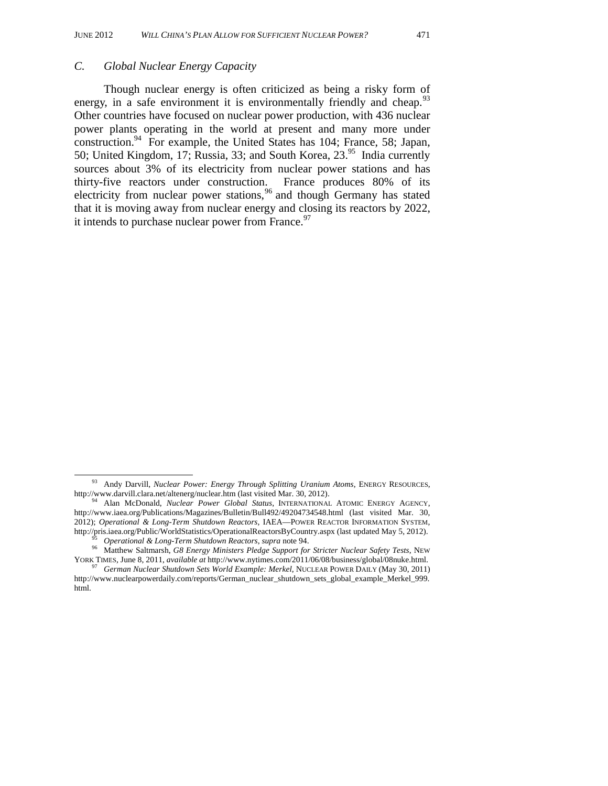#### *C. Global Nuclear Energy Capacity*

Though nuclear energy is often criticized as being a risky form of energy, in a safe environment it is environmentally friendly and cheap.<sup>93</sup> Other countries have focused on nuclear power production, with 436 nuclear power plants operating in the world at present and many more under construction.94 For example, the United States has 104; France, 58; Japan, 50; United Kingdom, 17; Russia, 33; and South Korea,  $23.^{95}$  India currently sources about 3% of its electricity from nuclear power stations and has thirty-five reactors under construction. France produces 80% of its electricity from nuclear power stations,<sup>96</sup> and though Germany has stated that it is moving away from nuclear energy and closing its reactors by 2022, it intends to purchase nuclear power from France. $97$ 

 <sup>93</sup> Andy Darvill, *Nuclear Power: Energy Through Splitting Uranium Atoms*, ENERGY RESOURCES, http://www.darvill.clara.net/altenerg/nuclear.htm (last visited Mar. 30, 2012). 94 Alan McDonald, *Nuclear Power Global Status*, INTERNATIONAL ATOMIC ENERGY AGENCY,

http://www.iaea.org/Publications/Magazines/Bulletin/Bull492/49204734548.html (last visited Mar. 30, 2012); *Operational & Long-Term Shutdown Reactors*, IAEA—POWER REACTOR INFORMATION SYSTEM, http://pris.iaea.org/Public/WorldStatistics/OperationalReactorsByCountry.aspx (last updated May 5, 2012).<br><sup>95</sup> Operational & Long-Term Shutdown Reactors, supra note 94.<br><sup>96</sup> Matthew Saltmarsh, G8 Energy Ministers Pledge Su

YORK TIMES, June 8, 2011, *available at* http://www.nytimes.com/2011/06/08/business/global/08nuke.html. 97 *German Nuclear Shutdown Sets World Example: Merkel*, NUCLEAR POWER DAILY (May 30, 2011)

http://www.nuclearpowerdaily.com/reports/German\_nuclear\_shutdown\_sets\_global\_example\_Merkel\_999. html.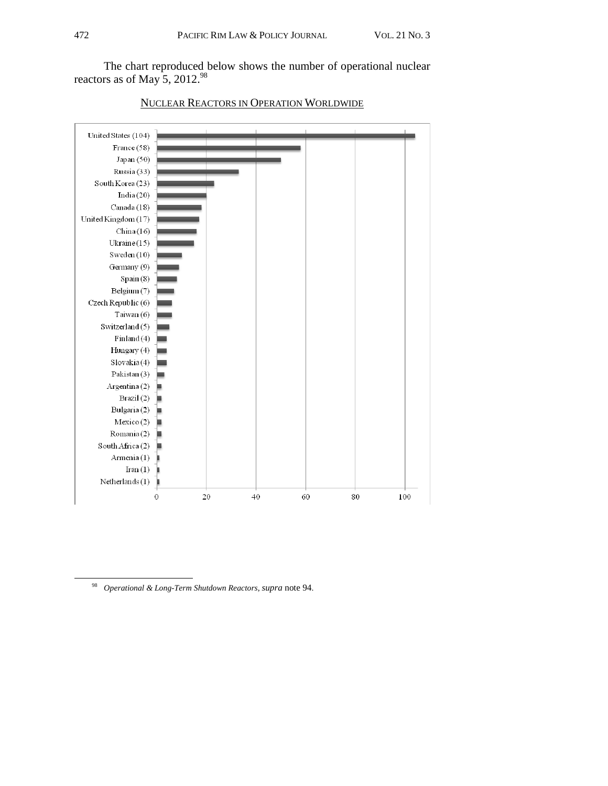

# NUCLEAR REACTORS IN OPERATION WORLDWIDE

 <sup>98</sup> *Operational & Long-Term Shutdown Reactors*, *supra* note 94.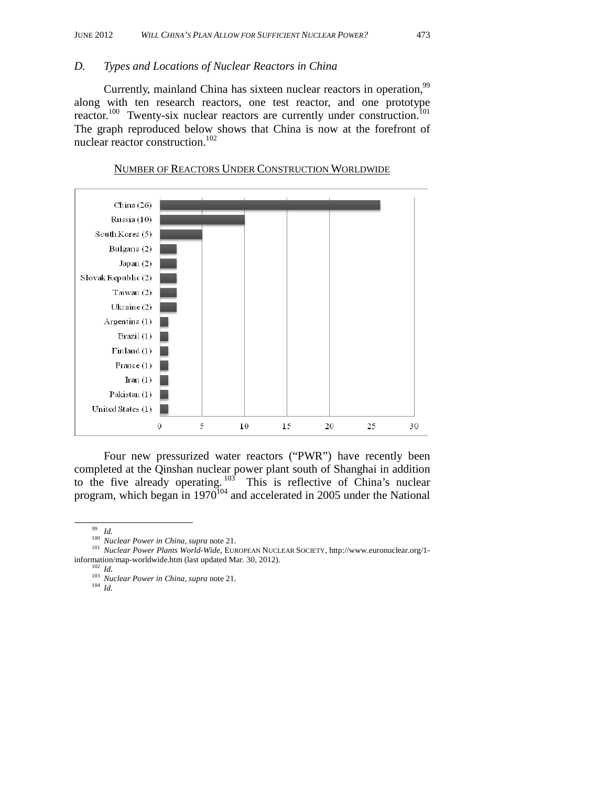#### *D. Types and Locations of Nuclear Reactors in China*

Currently, mainland China has sixteen nuclear reactors in operation,<sup>99</sup> along with ten research reactors, one test reactor, and one prototype reactor.<sup>100</sup> Twenty-six nuclear reactors are currently under construction.<sup>101</sup> The graph reproduced below shows that China is now at the forefront of nuclear reactor construction.<sup>102</sup>



NUMBER OF REACTORS UNDER CONSTRUCTION WORLDWIDE

Four new pressurized water reactors ("PWR") have recently been completed at the Qinshan nuclear power plant south of Shanghai in addition to the five already operating.  $103$  This is reflective of China's nuclear program, which began in  $1970^{104}$  and accelerated in 2005 under the National

<sup>&</sup>lt;sup>99</sup> Id.<br><sup>100</sup> *Nuclear Power in China, supra* note 21.<br><sup>101</sup> *Nuclear Power Plants World-Wide,* EUROPEAN NUCLEAR SOCIETY, http://www.euronuclear.org/1information/map-worldwide.htm (last updated Mar. 30, 2012).<br><sup>102</sup> *Id.* <sup>103</sup> *Nuclear Power in China*, *supra* note 21.<br><sup>104</sup> *Id*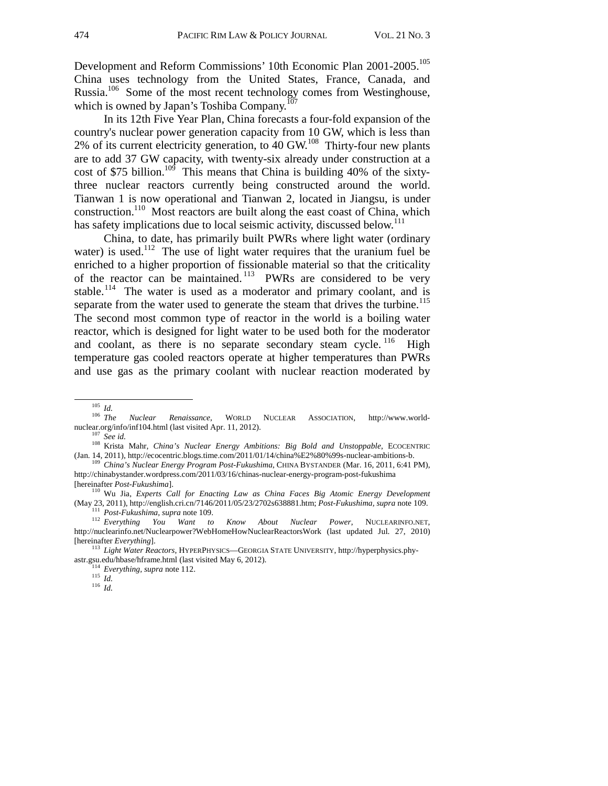Development and Reform Commissions' 10th Economic Plan 2001-2005.<sup>105</sup> China uses technology from the United States, France, Canada, and Russia.<sup>106</sup> Some of the most recent technology comes from Westinghouse, which is owned by Japan's Toshiba Company.<sup>107</sup>

In its 12th Five Year Plan, China forecasts a four-fold expansion of the country's nuclear power generation capacity from 10 GW, which is less than  $2\%$  of its current electricity generation, to 40 GW.<sup>108</sup> Thirty-four new plants are to add 37 GW capacity, with twenty-six already under construction at a cost of \$75 billion.<sup>109</sup> This means that China is building 40% of the sixtythree nuclear reactors currently being constructed around the world. Tianwan 1 is now operational and Tianwan 2, located in Jiangsu, is under construction.110 Most reactors are built along the east coast of China, which has safety implications due to local seismic activity, discussed below.<sup>111</sup>

China, to date, has primarily built PWRs where light water (ordinary water) is used.<sup>112</sup> The use of light water requires that the uranium fuel be enriched to a higher proportion of fissionable material so that the criticality of the reactor can be maintained.<sup>113</sup> PWRs are considered to be very stable.<sup>114</sup> The water is used as a moderator and primary coolant, and is separate from the water used to generate the steam that drives the turbine.<sup>115</sup> The second most common type of reactor in the world is a boiling water reactor, which is designed for light water to be used both for the moderator and coolant, as there is no separate secondary steam cycle.  $^{116}$  High temperature gas cooled reactors operate at higher temperatures than PWRs and use gas as the primary coolant with nuclear reaction moderated by

<sup>105</sup> *Id.* <sup>106</sup> *The Nuclear Renaissance*, WORLD NUCLEAR ASSOCIATION, http://www.world-

nuclear.org/info/inf104.html (last visited Apr. 11, 2012).<br><sup>107</sup> *See id.* <sup>108</sup> Krista Mahr, *China's Nuclear Energy Ambitions: Big Bold and Unstoppable*, ECOCENTRIC

<sup>(</sup>Jan. 14, 2011), http://ecocentric.blogs.time.com/2011/01/14/china%E2%80%99s-nuclear-ambitions-b. 109 *China's Nuclear Energy Program Post-Fukushima*, CHINA BYSTANDER (Mar. 16, 2011, 6:41 PM), http://chinabystander.wordpress.com/2011/03/16/chinas-nuclear-energy-program-post-fukushima

<sup>[</sup>hereinafter *Post-Fukushima*]. 110 Wu Jia, *Experts Call for Enacting Law as China Faces Big Atomic Energy Development* (May 23, 2011), http://english.cri.cn/7146/2011/05/23/2702s638881.htm;  $Post-Fukushima$ , supra note 109.<br>
<sup>111</sup> Post-Fukushima, supra note 109.<br>
<sup>112</sup> Everything You Want to Know About Nuclear Power, NUCLEARINFO.NET,

http://nuclearinfo.net/Nuclearpower?WebHomeHowNuclearReactorsWork (last updated Jul. 27, 2010)<br>[hereinafter Everything].

<sup>[</sup>hereinafter *Everything*]. 113 *Light Water Reactors*, HYPERPHYSICS—GEORGIA STATE UNIVERSITY, http://hyperphysics.phyastr.gsu.edu/hbase/hframe.html (last visited May 6, 2012). 114 *Everything, supra* note 112. 115 *Id.* <sup>116</sup> *Id.*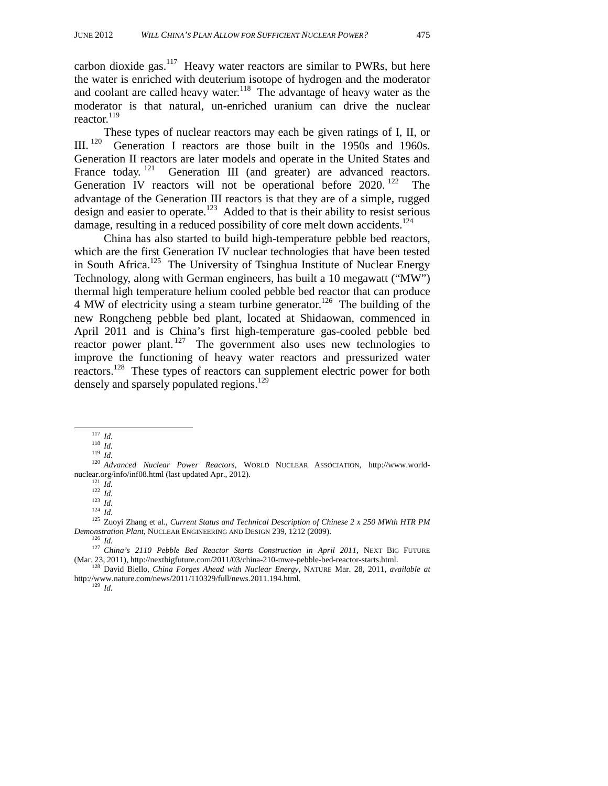carbon dioxide gas. $117$  Heavy water reactors are similar to PWRs, but here the water is enriched with deuterium isotope of hydrogen and the moderator and coolant are called heavy water.<sup>118</sup> The advantage of heavy water as the moderator is that natural, un-enriched uranium can drive the nuclear reactor.<sup>119</sup>

These types of nuclear reactors may each be given ratings of I, II, or III.<sup>120</sup> Generation I reactors are those built in the 1950s and 1960s. Generation II reactors are later models and operate in the United States and France today.<sup>121</sup> Generation III (and greater) are advanced reactors. Generation IV reactors will not be operational before 2020.<sup>122</sup> The advantage of the Generation III reactors is that they are of a simple, rugged design and easier to operate.<sup>123</sup> Added to that is their ability to resist serious damage, resulting in a reduced possibility of core melt down accidents.<sup>124</sup>

China has also started to build high-temperature pebble bed reactors, which are the first Generation IV nuclear technologies that have been tested in South Africa.<sup>125</sup> The University of Tsinghua Institute of Nuclear Energy Technology, along with German engineers, has built a 10 megawatt ("MW") thermal high temperature helium cooled pebble bed reactor that can produce 4 MW of electricity using a steam turbine generator.<sup>126</sup> The building of the new Rongcheng pebble bed plant, located at Shidaowan, commenced in April 2011 and is China's first high-temperature gas-cooled pebble bed reactor power plant.<sup>127</sup> The government also uses new technologies to improve the functioning of heavy water reactors and pressurized water reactors.<sup>128</sup> These types of reactors can supplement electric power for both densely and sparsely populated regions.<sup>129</sup>

nuclear.org/info/information.com/information.com/information.com/information.com/information.com/information.com/<br>121 *Id.* 123 *Id.* 123 *Id.* 125 Zuoyi Zhang et al., *Current Status and Technical Description of Chinese 2* 

<sup>117</sup> *Id.*<br>
118 *Id.*<br>
119 *Id.*<br>
120 *Advanced Nuclear Power Reactors*, WORLD NUCLEAR ASSOCIATION, http://www.world-<br>
nuclear.org/info/inf08.html (last updated Apr., 2012).

*Demonstration Plant*, NUCLEAR ENGINEERING AND DESIGN 239, 1212 (2009).<br><sup>126</sup> *Id.* <sup>127</sup> *China's 2110 Pebble Bed Reactor Starts Construction in April 2011*, NEXT BIG FUTURE

<sup>(</sup>Mar. 23, 2011), http://nextbigfuture.com/2011/03/china-210-mwe-pebble-bed-reactor-starts.html. 128 David Biello, *China Forges Ahead with Nuclear Energy*, NATURE Mar. 28, 2011, *available at*  http://www.nature.com/news/2011/110329/full/news.2011.194.html. 129 *Id.*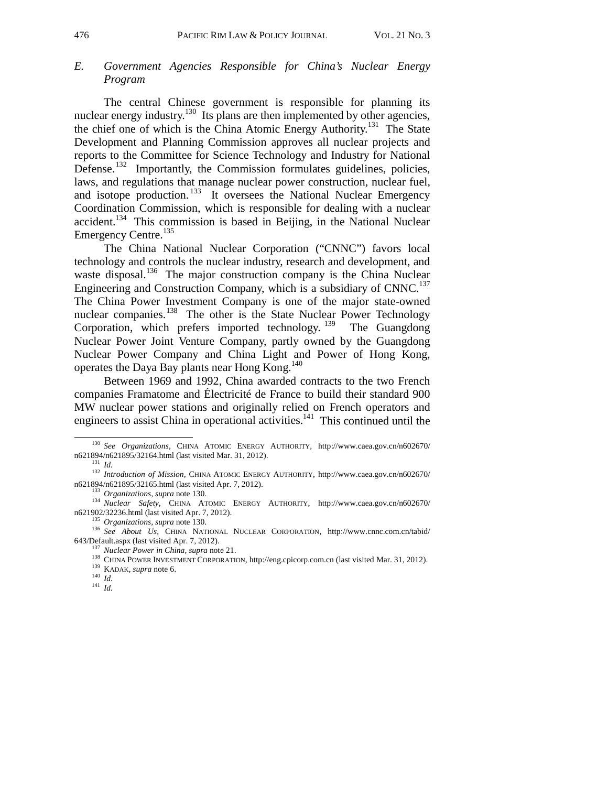# *E. Government Agencies Responsible for China's Nuclear Energy Program*

The central Chinese government is responsible for planning its nuclear energy industry.<sup>130</sup> Its plans are then implemented by other agencies, the chief one of which is the China Atomic Energy Authority.<sup>131</sup> The State Development and Planning Commission approves all nuclear projects and reports to the Committee for Science Technology and Industry for National Defense.<sup>132</sup> Importantly, the Commission formulates guidelines, policies, laws, and regulations that manage nuclear power construction, nuclear fuel, and isotope production.<sup>133</sup> It oversees the National Nuclear Emergency Coordination Commission, which is responsible for dealing with a nuclear  $accident.<sup>134</sup>$  This commission is based in Beijing, in the National Nuclear Emergency Centre.<sup>135</sup>

The China National Nuclear Corporation ("CNNC") favors local technology and controls the nuclear industry, research and development, and waste disposal.<sup>136</sup> The major construction company is the China Nuclear Engineering and Construction Company, which is a subsidiary of  $CNNC$ <sup>137</sup> The China Power Investment Company is one of the major state-owned nuclear companies.<sup>138</sup> The other is the State Nuclear Power Technology Corporation, which prefers imported technology. <sup>139</sup> The Guangdong Nuclear Power Joint Venture Company, partly owned by the Guangdong Nuclear Power Company and China Light and Power of Hong Kong, operates the Daya Bay plants near Hong Kong.<sup>140</sup>

Between 1969 and 1992, China awarded contracts to the two French companies Framatome and Électricité de France to build their standard 900 MW nuclear power stations and originally relied on French operators and engineers to assist China in operational activities.<sup>141</sup> This continued until the

 <sup>130</sup> *See Organizations,* CHINA ATOMIC ENERGY AUTHORITY, http://www.caea.gov.cn/n602670/ n621894/n621895/32164.html (last visited Mar. 31, 2012).<br><sup>131</sup> *Id. Introduction of Mission*, CHINA ATOMIC ENERGY AUTHORITY, http://www.caea.gov.cn/n602670/

n621894/n621895/32165.html (last visited Apr. 7, 2012).<br>
<sup>133</sup> *Organizations, supra* note 130.<br>
<sup>134</sup> *Nuclear Safety,* CHINA ATOMIC ENERGY AUTHORITY, http://www.caea.gov.cn/n602670/<br>
n621902/32236.html (last visited Apr

<sup>&</sup>lt;sup>135</sup> *Organizations, supra* note 130.<br><sup>136</sup> *See About Us,* CHINA NATIONAL NUCLEAR CORPORATION, http://www.cnnc.com.cn/tabid/<br>643/Default.aspx (last visited Apr. 7, 2012).

<sup>&</sup>lt;sup>137</sup> Nuclear Power in China, supra note 21.<br><sup>138</sup> CHINA POWER INVESTMENT CORPORATION, http://eng.cpicorp.com.cn (last visited Mar. 31, 2012).<br><sup>139</sup> KADAK, *supra* note 6.<br><sup>140</sup> Id.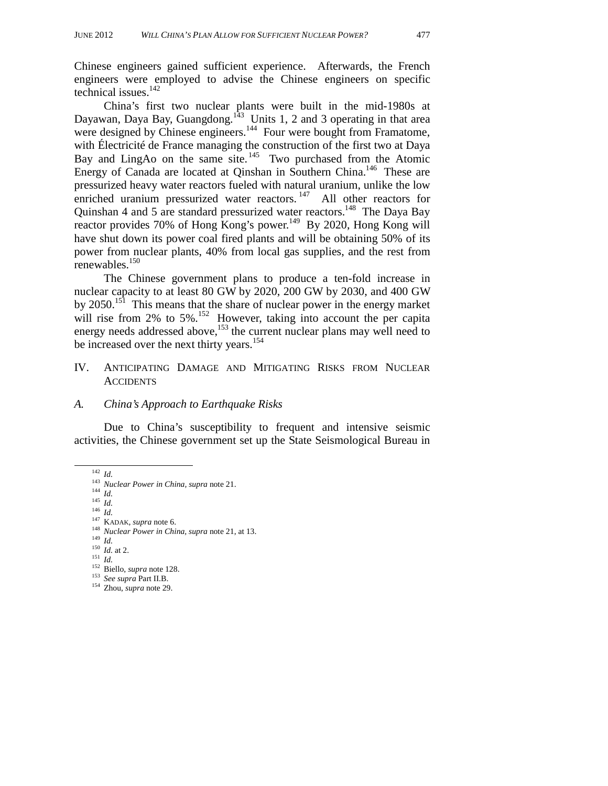Chinese engineers gained sufficient experience. Afterwards, the French engineers were employed to advise the Chinese engineers on specific technical issues. $142$ 

China's first two nuclear plants were built in the mid-1980s at Dayawan, Daya Bay, Guangdong.<sup>143</sup> Units 1, 2 and 3 operating in that area were designed by Chinese engineers.<sup>144</sup> Four were bought from Framatome, with Électricité de France managing the construction of the first two at Daya Bay and LingAo on the same site.  $145$  Two purchased from the Atomic Energy of Canada are located at Oinshan in Southern China.<sup>146</sup> These are pressurized heavy water reactors fueled with natural uranium, unlike the low enriched uranium pressurized water reactors.<sup>147</sup> All other reactors for Quinshan 4 and 5 are standard pressurized water reactors.<sup>148</sup> The Daya Bay reactor provides 70% of Hong Kong's power.149 By 2020, Hong Kong will have shut down its power coal fired plants and will be obtaining 50% of its power from nuclear plants, 40% from local gas supplies, and the rest from renewables.150

The Chinese government plans to produce a ten-fold increase in nuclear capacity to at least 80 GW by 2020, 200 GW by 2030, and 400 GW by 2050.<sup>151</sup> This means that the share of nuclear power in the energy market will rise from 2% to 5%.<sup>152</sup> However, taking into account the per capita energy needs addressed above,<sup>153</sup> the current nuclear plans may well need to be increased over the next thirty years.<sup>154</sup>

#### IV. ANTICIPATING DAMAGE AND MITIGATING RISKS FROM NUCLEAR **ACCIDENTS**

#### *A. China's Approach to Earthquake Risks*

Due to China's susceptibility to frequent and intensive seismic activities, the Chinese government set up the State Seismological Bureau in

<sup>142</sup> *Id.*<br>
<sup>143</sup> *Nuclear Power in China, supra* note 21.<br>
<sup>144</sup> *Id.*<br>
<sup>145</sup> *Id.*<br>
<sup>147</sup> KADAK, *supra* note 6.<br>
<sup>148</sup> *Nuclear Power in China, supra* note 21, at 13.<br>
<sup>149</sup> *Id.*<br>
<sup>149</sup> *Id.* at 2.<br>
<sup>150</sup> *Id.* at 2.

- 
- 
-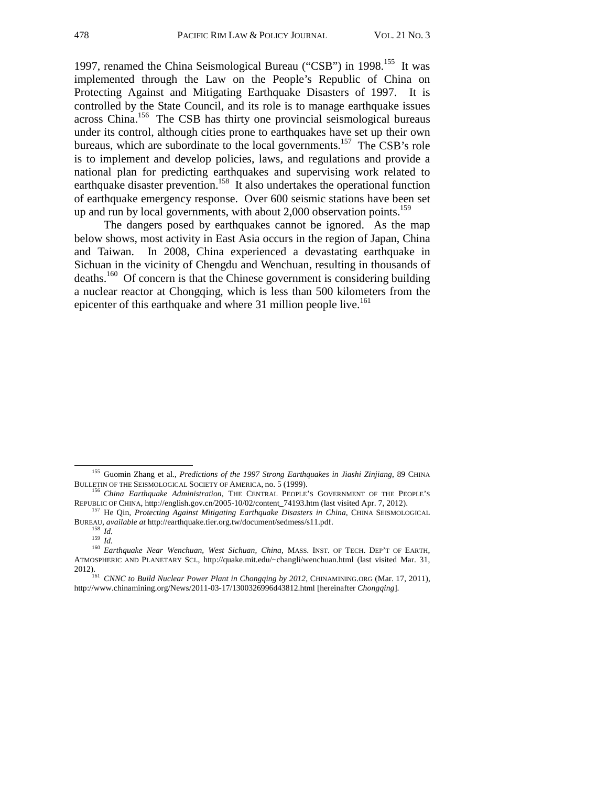1997, renamed the China Seismological Bureau ("CSB") in 1998.<sup>155</sup> It was implemented through the Law on the People's Republic of China on Protecting Against and Mitigating Earthquake Disasters of 1997. It is controlled by the State Council, and its role is to manage earthquake issues across China.156 The CSB has thirty one provincial seismological bureaus under its control, although cities prone to earthquakes have set up their own bureaus, which are subordinate to the local governments.<sup>157</sup> The CSB's role is to implement and develop policies, laws, and regulations and provide a national plan for predicting earthquakes and supervising work related to earthquake disaster prevention.<sup>158</sup> It also undertakes the operational function of earthquake emergency response. Over 600 seismic stations have been set up and run by local governments, with about  $2,000$  observation points.<sup>159</sup>

The dangers posed by earthquakes cannot be ignored. As the map below shows, most activity in East Asia occurs in the region of Japan, China and Taiwan. In 2008, China experienced a devastating earthquake in Sichuan in the vicinity of Chengdu and Wenchuan, resulting in thousands of deaths.160 Of concern is that the Chinese government is considering building a nuclear reactor at Chongqing, which is less than 500 kilometers from the epicenter of this earthquake and where 31 million people live.<sup>161</sup>

 <sup>155</sup> Guomin Zhang et al., *Predictions of the 1997 Strong Earthquakes in Jiashi Zinjiang*, 89 CHINA

BULLETIN OF THE SEISMOLOGICAL SOCIETY OF AMERICA, no. 5 (1999).<br><sup>156</sup> *China Earthquake Administration*, THE CENTRAL PEOPLE'S GOVERNMENT OF THE PEOPLE'S REPUBLIC OF CHINA, http://english.gov.cn/2005-10/02/content\_74193.htm

<sup>157</sup> He Qin, Protecting Against Mitigating Earthquake Disasters in China, CHINA SEISMOLOGICAL

BUREAU, *available at* http://earthquake.tier.org.tw/document/sedmess/s11.pdf. 158 *Id.* <sup>159</sup> *Id.* <sup>160</sup> *Earthquake Near Wenchuan, West Sichuan, China*, MASS. INST. OF TECH. DEP'T OF EARTH, ATMOSPHERIC AND PLANETARY SCI., http://quake.mit.edu/~changli/wenchuan.html (last visited Mar. 31,

<sup>2012). 161</sup> *CNNC to Build Nuclear Power Plant in Chongqing by 2012*, CHINAMINING.ORG (Mar. 17, 2011),

http://www.chinamining.org/News/2011-03-17/1300326996d43812.html [hereinafter *Chongqing*].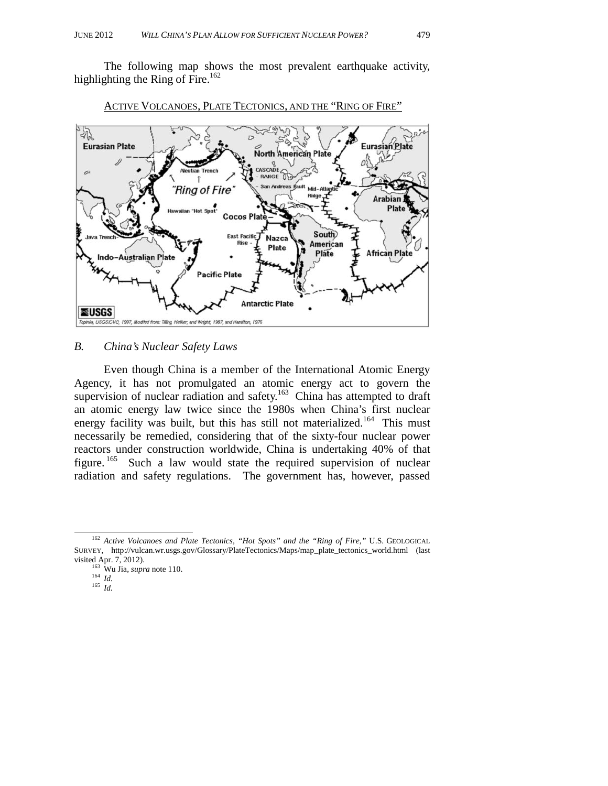The following map shows the most prevalent earthquake activity, highlighting the Ring of Fire.<sup>162</sup>



#### ACTIVE VOLCANOES, PLATE TECTONICS, AND THE "RING OF FIRE"

#### *B. China's Nuclear Safety Laws*

Even though China is a member of the International Atomic Energy Agency, it has not promulgated an atomic energy act to govern the supervision of nuclear radiation and safety.<sup>163</sup> China has attempted to draft an atomic energy law twice since the 1980s when China's first nuclear energy facility was built, but this has still not materialized.<sup>164</sup> This must necessarily be remedied, considering that of the sixty-four nuclear power reactors under construction worldwide, China is undertaking 40% of that figure.  $165$  Such a law would state the required supervision of nuclear radiation and safety regulations. The government has, however, passed

 <sup>162</sup> *Active Volcanoes and Plate Tectonics, "Hot Spots" and the "Ring of Fire*,*"* U.S. GEOLOGICAL SURVEY, http://vulcan.wr.usgs.gov/Glossary/PlateTectonics/Maps/map\_plate\_tectonics\_world.html (last visited Apr. 7, 2012).<br><sup>163</sup> Wu Jia, *supra* note 110.<br><sup>164</sup> *Id.*<br><sup>165</sup> *Id.*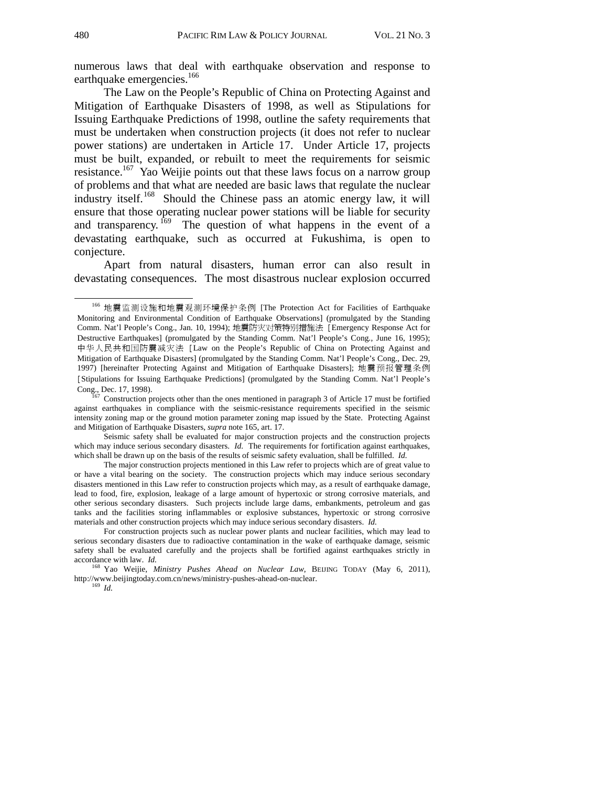numerous laws that deal with earthquake observation and response to earthquake emergencies.<sup>166</sup>

The Law on the People's Republic of China on Protecting Against and Mitigation of Earthquake Disasters of 1998, as well as Stipulations for Issuing Earthquake Predictions of 1998, outline the safety requirements that must be undertaken when construction projects (it does not refer to nuclear power stations) are undertaken in Article 17. Under Article 17, projects must be built, expanded, or rebuilt to meet the requirements for seismic resistance.<sup>167</sup> Yao Weijie points out that these laws focus on a narrow group of problems and that what are needed are basic laws that regulate the nuclear industry itself.168 Should the Chinese pass an atomic energy law, it will ensure that those operating nuclear power stations will be liable for security and transparency. <sup>169</sup> The question of what happens in the event of a devastating earthquake, such as occurred at Fukushima, is open to conjecture.

Apart from natural disasters, human error can also result in devastating consequences. The most disastrous nuclear explosion occurred

 <sup>166</sup> 地震监测设施和地震观测环境保护条例 [The Protection Act for Facilities of Earthquake Monitoring and Environmental Condition of Earthquake Observations] (promulgated by the Standing Comm. Nat'l People's Cong., Jan. 10, 1994); 地震防灾对策特别措施法 [Emergency Response Act for Destructive Earthquakes] (promulgated by the Standing Comm. Nat'l People's Cong., June 16, 1995); 中华人民共和国防震减灾法 [Law on the People's Republic of China on Protecting Against and Mitigation of Earthquake Disasters] (promulgated by the Standing Comm. Nat'l People's Cong., Dec. 29, 1997) [hereinafter Protecting Against and Mitigation of Earthquake Disasters]; 地震预报管理条例 [Stipulations for Issuing Earthquake Predictions] (promulgated by the Standing Comm. Nat'l People's Cong., Dec. 17, 1998).<br><sup>167</sup> Construction projects other than the ones mentioned in paragraph 3 of Article 17 must be fortified

against earthquakes in compliance with the seismic-resistance requirements specified in the seismic intensity zoning map or the ground motion parameter zoning map issued by the State. Protecting Against and Mitigation of Earthquake Disasters, *supra* note 165, art. 17.

Seismic safety shall be evaluated for major construction projects and the construction projects which may induce serious secondary disasters. *Id.* The requirements for fortification against earthquakes, which shall be drawn up on the basis of the results of seismic safety evaluation, shall be fulfilled. *Id.*

The major construction projects mentioned in this Law refer to projects which are of great value to or have a vital bearing on the society. The construction projects which may induce serious secondary disasters mentioned in this Law refer to construction projects which may, as a result of earthquake damage, lead to food, fire, explosion, leakage of a large amount of hypertoxic or strong corrosive materials, and other serious secondary disasters. Such projects include large dams, embankments, petroleum and gas tanks and the facilities storing inflammables or explosive substances, hypertoxic or strong corrosive materials and other construction projects which may induce serious secondary disasters. *Id.*

For construction projects such as nuclear power plants and nuclear facilities, which may lead to serious secondary disasters due to radioactive contamination in the wake of earthquake damage, seismic safety shall be evaluated carefully and the projects shall be fortified against earthquakes strictly in accordance with law. *Id.* 168 Yao Weijie, *Ministry Pushes Ahead on Nuclear Law*, BEIJING TODAY (May 6, 2011),

http://www.beijingtoday.com.cn/news/ministry-pushes-ahead-on-nuclear. 169 *Id.*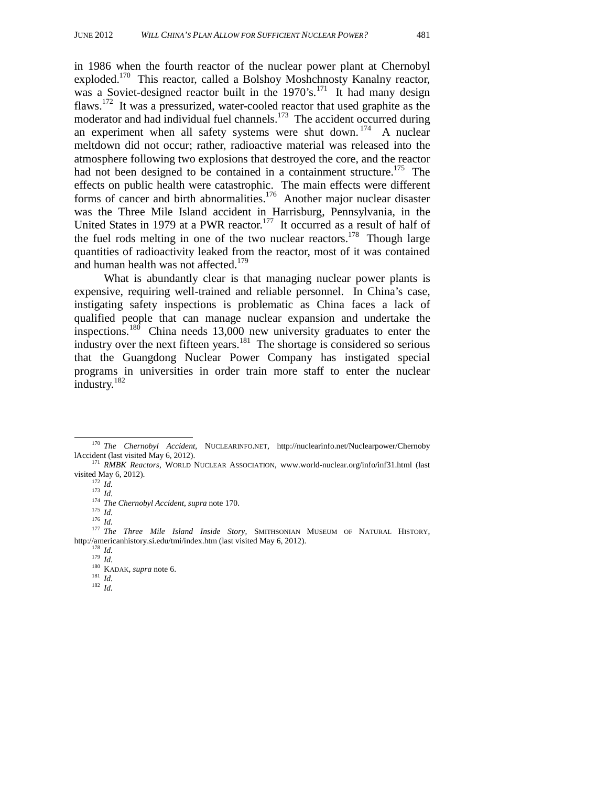in 1986 when the fourth reactor of the nuclear power plant at Chernobyl exploded.<sup>170</sup> This reactor, called a Bolshoy Moshchnosty Kanalny reactor, was a Soviet-designed reactor built in the  $1970's$ .<sup>171</sup> It had many design flaws.172 It was a pressurized, water-cooled reactor that used graphite as the moderator and had individual fuel channels.<sup>173</sup> The accident occurred during an experiment when all safety systems were shut down.  $174$  A nuclear meltdown did not occur; rather, radioactive material was released into the atmosphere following two explosions that destroyed the core, and the reactor had not been designed to be contained in a containment structure.<sup>175</sup> The effects on public health were catastrophic. The main effects were different forms of cancer and birth abnormalities.<sup>176</sup> Another major nuclear disaster was the Three Mile Island accident in Harrisburg, Pennsylvania, in the United States in 1979 at a PWR reactor.<sup>177</sup> It occurred as a result of half of the fuel rods melting in one of the two nuclear reactors.<sup>178</sup> Though large quantities of radioactivity leaked from the reactor, most of it was contained and human health was not affected.<sup>179</sup>

What is abundantly clear is that managing nuclear power plants is expensive, requiring well-trained and reliable personnel. In China's case, instigating safety inspections is problematic as China faces a lack of qualified people that can manage nuclear expansion and undertake the inspections.180 China needs 13,000 new university graduates to enter the industry over the next fifteen years.<sup>181</sup> The shortage is considered so serious that the Guangdong Nuclear Power Company has instigated special programs in universities in order train more staff to enter the nuclear industry.<sup>182</sup>

 <sup>170</sup> *The Chernobyl Accident*, NUCLEARINFO.NET, http://nuclearinfo.net/Nuclearpower/Chernoby

lAccident (last visited May 6, 2012).<br><sup>171</sup> *RMBK Reactors*, WORLD NUCLEAR ASSOCIATION, www.world-nuclear.org/info/inf31.html (last visited May 6, 2012).

<sup>&</sup>lt;sup>172</sup> *Id.*<br>
<sup>172</sup> *Id.*<br>
<sup>173</sup> *Id.*<br>
<sup>174</sup> The Chernobyl Accident, supra note 170.<br>
<sup>175</sup> *Id.*<br>
<sup>176</sup> *Id.*<br>
<sup>176</sup> *Id.*<br>
<sup>176</sup> *Intere Mile Island Inside Story, SMITHSONIAN MUSEUM OF NATURAL HISTORY,* http://americanhistory.si.edu/tmi/index.htm (last visited May 6, 2012).<br>
<sup>178</sup> *Id.*<br>
<sup>180</sup> KADAK, *supra* note 6.<br>
<sup>181</sup> *Id.*<br>
<sup>182</sup> *Id.*<br>
<sup>182</sup> *Id.*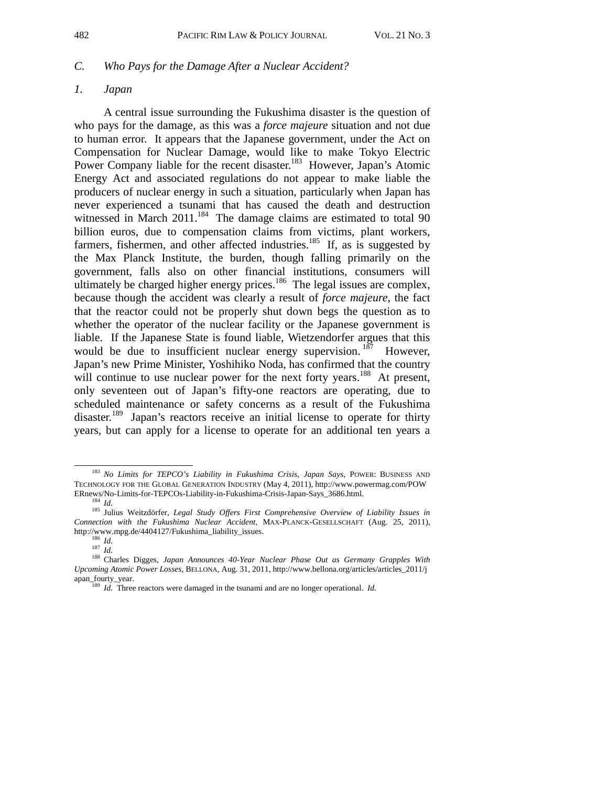#### *C. Who Pays for the Damage After a Nuclear Accident?*

#### *1. Japan*

A central issue surrounding the Fukushima disaster is the question of who pays for the damage, as this was a *force majeure* situation and not due to human error. It appears that the Japanese government, under the Act on Compensation for Nuclear Damage, would like to make Tokyo Electric Power Company liable for the recent disaster.<sup>183</sup> However, Japan's Atomic Energy Act and associated regulations do not appear to make liable the producers of nuclear energy in such a situation, particularly when Japan has never experienced a tsunami that has caused the death and destruction witnessed in March  $2011$ <sup>184</sup> The damage claims are estimated to total 90 billion euros, due to compensation claims from victims, plant workers, farmers, fishermen, and other affected industries.<sup>185</sup> If, as is suggested by the Max Planck Institute, the burden, though falling primarily on the government, falls also on other financial institutions, consumers will ultimately be charged higher energy prices.<sup>186</sup> The legal issues are complex, because though the accident was clearly a result of *force majeure*, the fact that the reactor could not be properly shut down begs the question as to whether the operator of the nuclear facility or the Japanese government is liable. If the Japanese State is found liable, Wietzendorfer argues that this would be due to insufficient nuclear energy supervision.  $187$  However, Japan's new Prime Minister, Yoshihiko Noda, has confirmed that the country will continue to use nuclear power for the next forty years.<sup>188</sup> At present, only seventeen out of Japan's fifty-one reactors are operating, due to scheduled maintenance or safety concerns as a result of the Fukushima disaster.<sup>189</sup> Japan's reactors receive an initial license to operate for thirty years, but can apply for a license to operate for an additional ten years a

 <sup>183</sup> *No Limits for TEPCO's Liability in Fukushima Crisis, Japan Says*, POWER: BUSINESS AND TECHNOLOGY FOR THE GLOBAL GENERATION INDUSTRY (May 4, 2011), http://www.powermag.com/POW ERnews/No-Limits-for-TEPCOs-Liability-in-Fukushima-Crisis-Japan-Says\_3686.html. 184 *Id.* 185 Julius Weitzdörfer, *Legal Study Offers First Comprehensive Overview of Liability Issues in* 

*Connection with the Fukushima Nuclear Accident*, MAX-PLANCK-GESELLSCHAFT (Aug. 25, 2011),

http://www.mpg.de/4404127/Fukushima\_liability\_issues.<br><sup>186</sup> *Id.* 187 *Id.* 187 *Id.* 188 Charles Digges, *Japan Announces 40-Year Nuclear Phase Out as Germany Grapples With Upcoming Atomic Power Losses*, BELLONA, Aug. 31, 2011, http://www.bellona.org/articles/articles\_2011/j

apan\_fourty\_year.<br><sup>189</sup> *Id.* Three reactors were damaged in the tsunami and are no longer operational. *Id.*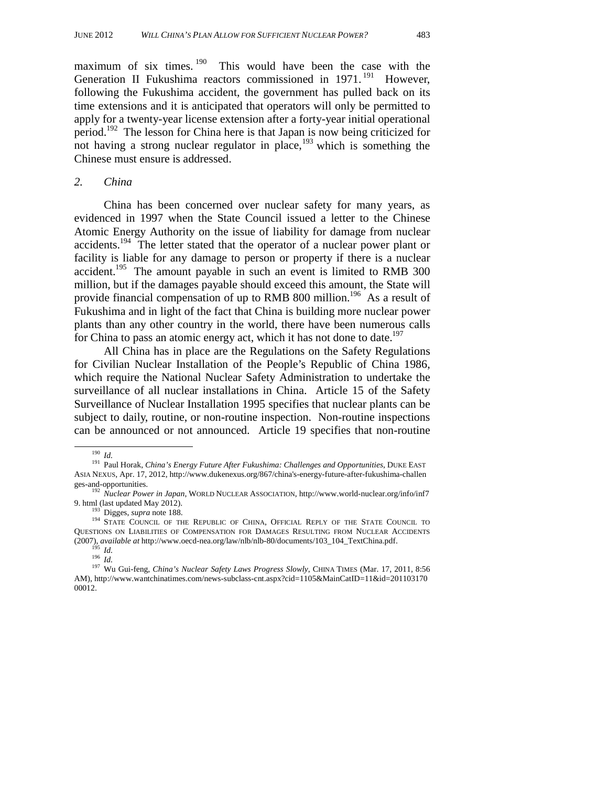maximum of six times. <sup>190</sup> This would have been the case with the Generation II Fukushima reactors commissioned in 1971.<sup>191</sup> However, following the Fukushima accident, the government has pulled back on its time extensions and it is anticipated that operators will only be permitted to apply for a twenty-year license extension after a forty-year initial operational period.192 The lesson for China here is that Japan is now being criticized for not having a strong nuclear regulator in place,<sup>193</sup> which is something the Chinese must ensure is addressed.

#### *2. China*

China has been concerned over nuclear safety for many years, as evidenced in 1997 when the State Council issued a letter to the Chinese Atomic Energy Authority on the issue of liability for damage from nuclear accidents.194 The letter stated that the operator of a nuclear power plant or facility is liable for any damage to person or property if there is a nuclear accident.<sup>195</sup> The amount payable in such an event is limited to RMB 300 million, but if the damages payable should exceed this amount, the State will provide financial compensation of up to RMB 800 million.<sup>196</sup> As a result of Fukushima and in light of the fact that China is building more nuclear power plants than any other country in the world, there have been numerous calls for China to pass an atomic energy act, which it has not done to date.<sup>197</sup>

All China has in place are the Regulations on the Safety Regulations for Civilian Nuclear Installation of the People's Republic of China 1986, which require the National Nuclear Safety Administration to undertake the surveillance of all nuclear installations in China. Article 15 of the Safety Surveillance of Nuclear Installation 1995 specifies that nuclear plants can be subject to daily, routine, or non-routine inspection. Non-routine inspections can be announced or not announced. Article 19 specifies that non-routine

<sup>190</sup> *Id.* 191 Paul Horak, *China's Energy Future After Fukushima: Challenges and Opportunities*, DUKE EAST ASIA NEXUS, Apr. 17, 2012, http://www.dukenexus.org/867/china's-energy-future-after-fukushima-challen ges-and-opportunities. 192 *Nuclear Power in Japan*, WORLD NUCLEAR ASSOCIATION, http://www.world-nuclear.org/info/inf7

<sup>9.</sup> html (last updated May 2012).<br><sup>193</sup> Digges, *supra* note 188. 194 STATE COUNCIL OF THE REPUBLIC OF CHINA, OFFICIAL REPLY OF THE STATE COUNCIL TO QUESTIONS ON LIABILITIES OF COMPENSATION FOR DAMAGES RESULTING FROM NUCLEAR ACCIDENTS (2007), *available at http://www.oecd-nea.org/law/nlb/nlb-80/documents/103\_104\_TextChina.pdf*<br><sup>195</sup> *Id.*<br><sup>196</sup> *Id.*<br><sup>197</sup> Wu Gui-feng. *China's Nuclear Safety Laws Progress Slowly*, CHINA TIMES (Mar. 17, 2011, 8:56

AM), http://www.wantchinatimes.com/news-subclass-cnt.aspx?cid=1105&MainCatID=11&id=201103170 00012.